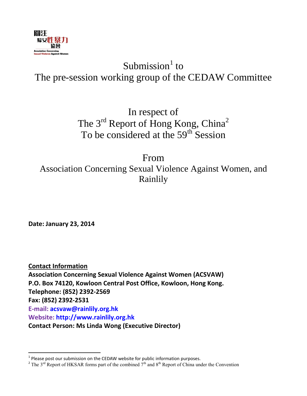

# Submission $<sup>1</sup>$  to</sup> The pre-session working group of the CEDAW Committee

In respect of The 3<sup>rd</sup> Report of Hong Kong, China<sup>2</sup> To be considered at the 59<sup>th</sup> Session

From Association Concerning Sexual Violence Against Women, and Rainlily

**Date: January 23, 2014**

**Contact Information Association Concerning Sexual Violence Against Women (ACSVAW) P.O. Box 74120, Kowloon Central Post Office, Kowloon, Hong Kong. Telephone: (852) 2392-2569 Fax: (852) 2392-2531 E-mail: [acsvaw@rainlily.org.hk](mailto:acsvaw@rainlily.org.hk) Website: [http://www.rainlily.org.hk](http://www.rainlily.org.hk/) Contact Person: Ms Linda Wong (Executive Director)**

 1 Please post our submission on the CEDAW website for public information purposes.

<sup>&</sup>lt;sup>2</sup> The 3<sup>rd</sup> Report of HKSAR forms part of the combined  $7<sup>th</sup>$  and  $8<sup>th</sup>$  Report of China under the Convention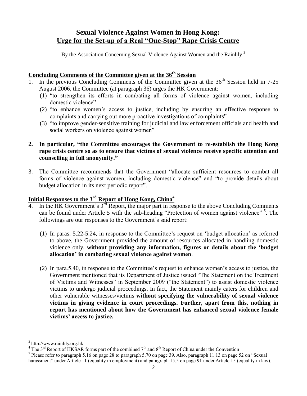# **Sexual Violence Against Women in Hong Kong: Urge for the Set-up of a Real "One-Stop" Rape Crisis Centre**

By the Association Concerning Sexual Violence Against Women and the Rainlily  $3$ 

#### **Concluding Comments of the Committee given at the 36th Session**

- 1. In the previous Concluding Comments of the Committee given at the 36<sup>th</sup> Session held in 7-25 August 2006, the Committee (at paragraph 36) urges the HK Government:
	- (1) "to strengthen its efforts in combating all forms of violence against women, including domestic violence"
	- (2) "to enhance women's access to justice, including by ensuring an effective response to complaints and carrying out more proactive investigations of complaints"
	- (3) "to improve gender-sensitive training for judicial and law enforcement officials and health and social workers on violence against women"

#### **2. In particular, "the Committee encourages the Government to re-establish the Hong Kong rape crisis centre so as to ensure that victims of sexual violence receive specific attention and counselling in full anonymity."**

3. The Committee recommends that the Government "allocate sufficient resources to combat all forms of violence against women, including domestic violence" and "to provide details about budget allocation in its next periodic report".

## **Initial Responses to the 3 rd Report of Hong Kong, China<sup>4</sup>**

- 4. In the HK Government's 3<sup>rd</sup> Report, the major part in response to the above Concluding Comments can be found under Article 5 with the sub-heading "Protection of women against violence"<sup>5</sup>. The followings are our responses to the Government's said report:
	- (1) In paras. 5.22-5.24, in response to the Committee's request on 'budget allocation' as referred to above, the Government provided the amount of resources allocated in handling domestic violence only, **without providing any information, figures or details about the 'budget allocation' in combating sexual violence against women**.
	- (2) In para.5.40, in response to the Committee's request to enhance women's access to justice, the Government mentioned that its Department of Justice issued "The Statement on the Treatment of Victims and Witnesses" in September 2009 ("the Statement") to assist domestic violence victims to undergo judicial proceedings. In fact, the Statement mainly caters for children and other vulnerable witnesses/victims **without specifying the vulnerability of sexual violence victims in giving evidence in court proceedings. Further, apart from this, nothing in report has mentioned about how the Government has enhanced sexual violence female victims' access to justice.**

 $\overline{a}$ 

<sup>3</sup> [http://www.rainlily.org.hk](http://www.rainlily.org.hk/)

<sup>&</sup>lt;sup>4</sup> The  $3<sup>rd</sup>$  Report of HKSAR forms part of the combined  $7<sup>th</sup>$  and  $8<sup>th</sup>$  Report of China under the Convention

<sup>&</sup>lt;sup>5</sup> Please refer to paragraph 5.16 on page 28 to paragraph 5.70 on page 39. Also, paragraph 11.13 on page 52 on "Sexual harassment" under Article 11 (equality in employment) and paragraph 15.5 on page 91 under Article 15 (equality in law).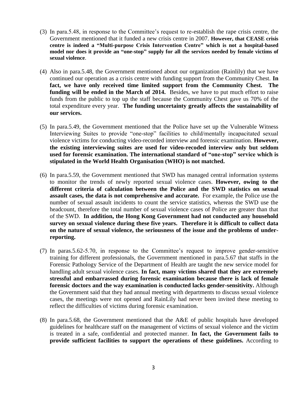- (3) In para.5.48, in response to the Committee's request to re-establish the rape crisis centre, the Government mentioned that it funded a new crisis centre in 2007. **However, that CEASE crisis centre is indeed a "Multi-purpose Crisis Intervention Centre" which is not a hospital-based model nor does it provide an "one-stop" supply for all the services needed by female victims of sexual violence**.
- (4) Also in para.5.48, the Government mentioned about our organization (Rainlily) that we have continued our operation as a crisis centre with funding support from the Community Chest. **In fact, we have only received time limited support from the Community Chest. The funding will be ended in the March of 2014.** Besides, we have to put much effort to raise funds from the public to top up the staff because the Community Chest gave us 70% of the total expenditure every year. **The funding uncertainty greatly affects the sustainability of our services.**
- (5) In para.5.49, the Government mentioned that the Police have set up the Vulnerable Witness Interviewing Suites to provide "one-stop" facilities to child/mentally incapacitated sexual violence victims for conducting video-recorded interview and forensic examination. **However, the existing interviewing suites are used for video-recoded interview only but seldom used for forensic examination. The international standard of "one-stop" service which is stipulated in the World Health Organisation (WHO) is not matched.**
- (6) In para.5.59, the Government mentioned that SWD has managed central information systems to monitor the trends of newly reported sexual violence cases. **However, owing to the different criteria of calculation between the Police and the SWD statistics on sexual assault cases, the data is not comprehensive and accurate.** For example, the Police use the number of sexual assault incidents to count the service statistics, whereas the SWD use the headcount, therefore the total number of sexual violence cases of Police are greater than that of the SWD. **In addition, the Hong Kong Government had not conducted any household survey on sexual violence during these five years. Therefore it is difficult to collect data on the nature of sexual violence, the seriousness of the issue and the problems of underreporting.**
- (7) In paras.5.62-5.70, in response to the Committee's request to improve gender-sensitive training for different professionals, the Government mentioned in para.5.67 that staffs in the Forensic Pathology Service of the Department of Health are taught the new service model for handling adult sexual violence cases. **In fact, many victims shared that they are extremely stressful and embarrassed during forensic examination because there is lack of female forensic doctors and the way examination is conducted lacks gender-sensitivity.** Although the Government said that they had annual meeting with departments to discuss sexual violence cases, the meetings were not opened and RainLily had never been invited these meeting to reflect the difficulties of victims during forensic examination.
- (8) In para.5.68, the Government mentioned that the A&E of public hospitals have developed guidelines for healthcare staff on the management of victims of sexual violence and the victim is treated in a safe, confidential and protected manner. **In fact, the Government fails to provide sufficient facilities to support the operations of these guidelines.** According to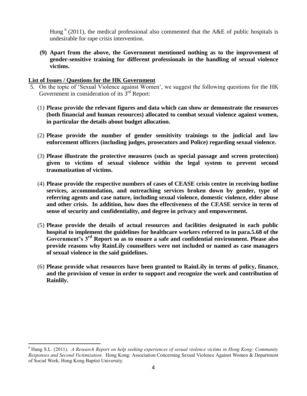Hung  $<sup>6</sup>$  (2011), the medical professional also commented that the A&E of public hospitals is</sup> undesirable for rape crisis intervention.

**(9) Apart from the above, the Government mentioned nothing as to the improvement of gender-sensitive training for different professionals in the handling of sexual violence victims.**

#### **List of Issues / Questions for the HK Government**

- 5. On the topic of 'Sexual Violence against Women', we suggest the following questions for the HK Government in consideration of its  $3<sup>rd</sup>$  Report:
	- (1) **Please provide the relevant figures and data which can show or demonstrate the resources (both financial and human resources) allocated to combat sexual violence against women, in particular the details about budget allocation.**
	- (2) **Please provide the number of gender sensitivity trainings to the judicial and law enforcement officers (including judges, prosecutors and Police) regarding sexual violence.**
	- (3) **Please illustrate the protective measures (such as special passage and screen protection) given to victims of sexual violence within the legal system to prevent second traumatization of victims.**
	- (4) **Please provide the respective numbers of cases of CEASE crisis centre in receiving hotline services, accommodation, and outreaching services broken down by gender, type of referring agents and case nature, including sexual violence, domestic violence, elder abuse and other crisis. In addition, how does the effectiveness of the CEASE service in term of sense of security and confidentiality, and degree in privacy and empowerment.**
	- (5) **Please provide the details of actual resources and facilities designated in each public hospital to implement the guidelines for healthcare workers referred to in para.5.68 of the Government's 3rd Report so as to ensure a safe and confidential environment. Please also provide reasons why RainLily counsellors were not included or named as case managers of sexual violence in the said guidelines.**
	- (6) **Please provide what resources have been granted to RainLily in terms of policy, finance, and the provision of venue in order to support and recognize the work and contribution of Rainlily.**

 $\overline{\phantom{a}}$ <sup>6</sup> Hung S.L. (2011). *A Research Report on help seeking experiences of sexual violence victims in Hong Kong: Community Responses and Second Victimization*. Hong Kong: Association Concerning Sexual Violence Against Women & Department of Social Work, Hong Kong Baptist University.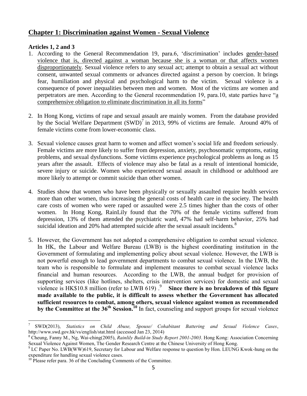# **Chapter 1: Discrimination against Women - Sexual Violence**

#### **Articles 1, 2 and 3**

 $\overline{a}$ 

- 1. According to the General Recommendation 19, para.6, 'discrimination' includes gender-based violence that is, directed against a woman because she is a woman or that affects women disproportionately. Sexual violence refers to any sexual act; attempt to obtain a sexual act without consent, unwanted sexual comments or advances directed against a person by coercion. It brings fear, humiliation and physical and psychological harm to the victim. Sexual violence is a consequence of power inequalities between men and women. Most of the victims are women and perpetrators are men. According to the General recommendation 19, para.10, state parties have "a comprehensive obligation to eliminate discrimination in all its forms"
- 2. In Hong Kong, victims of rape and sexual assault are mainly women. From the database provided by the Social Welfare Department  $(SWD)^7$  in 2013, 99% of victims are female. Around 40% of female victims come from lower-economic class.
- 3. Sexual violence causes great harm to women and affect women's social life and freedom seriously. Female victims are more likely to suffer from depression, anxiety, psychosomatic symptoms, eating problems, and sexual dysfunctions. Some victims experience psychological problems as long as 15 years after the assault. Effects of violence may also be fatal as a result of intentional homicide, severe injury or suicide. Women who experienced sexual assault in childhood or adulthood are more likely to attempt or commit suicide than other women.
- 4. Studies show that women who have been physically or sexually assaulted require health services more than other women, thus increasing the general costs of health care in the society. The health care costs of women who were raped or assaulted were 2.5 times higher than the costs of other women. In Hong Kong, RainLily found that the 70% of the female victims suffered from depression, 13% of them attended the psychiatric ward, 47% had self-harm behavior, 25% had suicidal ideation and 20% had attempted suicide after the sexual assault incidents.<sup>8</sup>
- 5. However, the Government has not adopted a comprehensive obligation to combat sexual violence. In HK, the Labour and Welfare Bureau (LWB) is the highest coordinating institution in the Government of formulating and implementing policy about sexual violence. However, the LWB is not powerful enough to lead government departments to combat sexual violence. In the LWB, the team who is responsible to formulate and implement measures to combat sexual violence lacks financial and human resources. According to the LWB, the annual budget for provision of supporting services (like hotlines, shelters, crisis intervention services) for domestic and sexual violence is HK\$10.8 million (refer to LWB 619).<sup>9</sup> Since there is no breakdown of this figure **made available to the public, it is difficult to assess whether the Government has allocated sufficient resources to combat, among others, sexual violence against women as recommended by the Committee at the 36th Session.<sup>10</sup>** In fact, counseling and support groups for sexual violence

<sup>7</sup> SWD(2013), *Statistics on Child Abuse, Spouse/ Cohabitant Battering and Sexual Violence Cases*, <http://www.swd.gov.hk/vs/english/stat.html> (accessed Jan 23, 2014)

<sup>8</sup> Cheung, Fanny M., Ng, Wai-ching(2005), *Rainlily Build-in Study Report 2001-2003*. Hong Kong: Association Concerning Sexual Violence Against Women, The Gender Research Centre at the Chinese University of Hong Kong.

 $9 \text{ LC Paper No. LWB(WW)}$ 619, Secretary for Labour and Welfare response to question by Hon. LEUNG Kwok-hung on the expenditure for handling sexual violence cases.

<sup>&</sup>lt;sup>10</sup> Please refer para. 36 of the Concluding Comments of the Committee.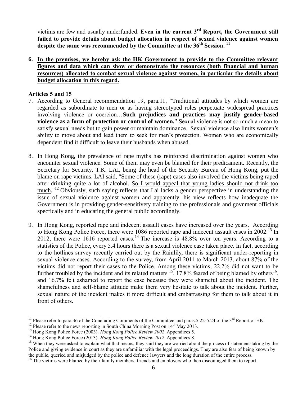victims are few and usually underfunded. **Even in the current 3rd Report, the Government still failed to provide details about budget allocation in respect of sexual violence against women despite the same was recommended by the Committee at the 36th Session.** <sup>11</sup>

**6. In the premises, we hereby ask the HK Government to provide to the Committee relevant figures and data which can show or demonstrate the resources (both financial and human resources) allocated to combat sexual violence against women, in particular the details about budget allocation in this regard.**

#### **Articles 5 and 15**

- 7. According to General recommendation 19, para.11, "Traditional attitudes by which women are regarded as subordinate to men or as having stereotyped roles perpetuate widespread practices involving violence or coercion…**Such prejudices and practices may justify gender-based violence as a form of protection or control of women.**" Sexual violence is not so much a mean to satisfy sexual needs but to gain power or maintain dominance. Sexual violence also limits women's ability to move about and lead them to seek for men's protection. Women who are economically dependent find it difficult to leave their husbands when abused.
- 8. In Hong Kong, the prevalence of rape myths has reinforced discrimination against women who encounter sexual violence. Some of them may even be blamed for their predicament. Recently, the Secretary for Security, T.K. LAI, being the head of the Security Bureau of Hong Kong, put the blame on rape victims. LAI said, "Some of these (rape) cases also involved the victims being raped after drinking quite a lot of alcohol. So I would appeal that young ladies should not drink too much."<sup>12</sup> Obviously, such saying reflects that Lai lacks a gender perspective in understanding the issue of sexual violence against women and apparently, his view reflects how inadequate the Government is in providing gender-sensitivety training to the professionals and govnment officials specfically and in educating the general public accordingly.
- 9. In Hong Kong, reported rape and indecent assault cases have increased over the years. According to Hong Kong Police Force, there were 1086 reported rape and indecent assault cases in 2002.<sup>13</sup> In 2012, there were 1616 reported cases.<sup>14</sup> The increase is  $48.8\%$  over ten years. According to a statistics of the Police, every 5.4 hours there is a sexual violence case taken place. In fact, according to the hotlines survey recently carried out by the Rainlily, there is significant under-reporting in sexual violence cases. According to the survey, from April 2011 to March 2013, about 87% of the victims did not report their cases to the Police. Among these victims, 22.2% did not want to be further troubled by the incident and its related matters  $^{15}$ , 17.8% feared of being blamed by others  $^{16}$ , and 16.7% felt ashamed to report the case because they were shameful about the incident. The shamefulness and self-blame attitude make them very hesitate to talk about the incident. Further, sexual nature of the incident makes it more difficult and embarrassing for them to talk about it in front of others.

l <sup>11</sup> Please refer to para.36 of the Concluding Comments of the Committee and paras.5.22-5.24 of the  $3<sup>rd</sup>$  Report of HK

<sup>&</sup>lt;sup>12</sup> Please refer to the news reporting in South China Morning Post on  $14<sup>th</sup>$  May 2013.

<sup>&</sup>lt;sup>13</sup> Hong Kong Police Force (2003). *Hong Kong Police Review 2002*. Appendices 5.

<sup>14</sup> Hong Kong Police Force (2013). *Hong Kong Police Review 2012*. Appendices 8.

<sup>&</sup>lt;sup>15</sup> When they were asked to explain what that means, they said they are worried about the process of statement-taking by the Police and giving evidence in court as they are unfamiliar with the legal proceedings. They are also fear of being known by the public, queried and misjudged by the police and defence lawyers and the long duration of the entire process.

<sup>&</sup>lt;sup>16</sup> The victims were blamed by their family members, friends and employers who then discouraged them to report.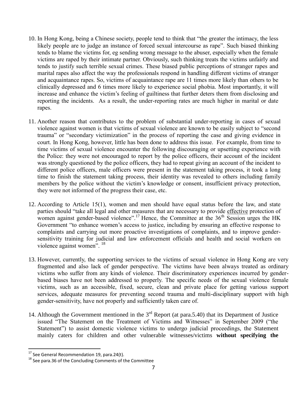- 10. In Hong Kong, being a Chinese society, people tend to think that "the greater the intimacy, the less likely people are to judge an instance of forced sexual intercourse as rape". Such biased thinking tends to blame the victims for, eg sending wrong message to the abuser, especially when the female victims are raped by their intimate partner. Obviously, such thinking treats the victims unfairly and tends to justify such terrible sexual crimes. These biased public perceptions of stranger rapes and marital rapes also affect the way the professionals respond in handling different victims of stranger and acquaintance rapes. So, victims of acquaintance rape are 11 times more likely than others to be clinically depressed and 6 times more likely to experience social phobia. Most importantly, it will increase and enhance the victim's feeling of guiltiness that further deters them from disclosing and reporting the incidents. As a result, the under-reporting rates are much higher in marital or date rapes.
- 11. Another reason that contributes to the problem of substantial under-reporting in cases of sexual violence against women is that victims of sexual violence are known to be easily subject to "second trauma" or "secondary victimization" in the process of reporting the case and giving evidence in court. In Hong Kong, however, little has been done to address this issue. For example, from time to time victims of sexual violence encounter the following discouraging or upsetting experience with the Police: they were not encouraged to report by the police officers, their account of the incident was strongly questioned by the police officers, they had to repeat giving an account of the incident to different police officers, male officers were present in the statement taking process, it took a long time to finish the statement taking process, their identity was revealed to others including family members by the police without the victim's knowledge or consent, insufficient privacy protection, they were not informed of the progress their case, etc.
- 12. According to Article 15(1), women and men should have equal status before the law, and state parties should "take all legal and other measures that are necessary to provide effective protection of women against gender-based violence".<sup>17</sup> Hence, the Committee at the 36<sup>th</sup>  $\overline{\text{Session}}$  urges the HK Government "to enhance women's access to justice, including by ensuring an effective response to complaints and carrying out more proactive investigations of complaints, and to improve gendersensitivity training for judicial and law enforcement officials and health and social workers on violence against women". <sup>18</sup>
- 13. However, currently, the supporting services to the victims of sexual violence in Hong Kong are very fragmented and also lack of gender perspective. The victims have been always treated as ordinary victims who suffer from any kinds of violence. Their discriminatory experiences incurred by genderbased biases have not been addressed to properly. The specific needs of the sexual violence female victims, such as an accessible, fixed, secure, clean and private place for getting various support services, adequate measures for preventing second trauma and multi-disciplinary support with high gender-sensitivity, have not properly and sufficiently taken care of.
- 14. Although the Government mentioned in the  $3<sup>rd</sup>$  Report (at para.5.40) that its Department of Justice issued "The Statement on the Treatment of Victims and Witnesses" in September 2009 ("the Statement") to assist domestic violence victims to undergo judicial proceedings, the Statement mainly caters for children and other vulnerable witnesses/victims **without specifying the**

 $\overline{\phantom{a}}$ 

 $^{17}$  See General Recommendation 19, para.24(t).

 $18$  See para.36 of the Concluding Comments of the Committee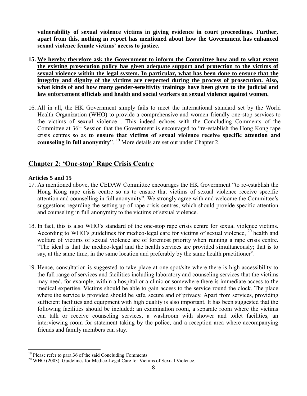**vulnerability of sexual violence victims in giving evidence in court proceedings. Further, apart from this, nothing in report has mentioned about how the Government has enhanced sexual violence female victims' access to justice.**

- **15. We hereby therefore ask the Government to inform the Committee how and to what extent the existing prosecution policy has given adequate support and protection to the victims of sexual violence within the legal system. In particular, what has been done to ensure that the integrity and dignity of the victims are respected during the process of prosecution. Also, what kinds of and how many gender-sensitivity trainings have been given to the judicial and law enforcement officials and health and social workers on sexual violence against women.**
- 16. All in all, the HK Government simply fails to meet the international standard set by the World Health Organization (WHO) to provide a comprehensive and women friendly one-stop services to the victims of sexual violence . This indeed echoes with the Concluding Comments of the Committee at 36<sup>th</sup> Session that the Government is encouraged to "re-establish the Hong Kong rape" crisis centres so as **to ensure that victims of sexual violence receive specific attention and counseling in full anonymity**". <sup>19</sup> More details are set out under Chapter 2.

## **Chapter 2: 'One-stop' Rape Crisis Centre**

#### **Articles 5 and 15**

 $\overline{\phantom{a}}$ 

- 17. As mentioned above, the CEDAW Committee encourages the HK Government "to re-establish the Hong Kong rape crisis centre so as to ensure that victims of sexual violence receive specific attention and counselling in full anonymity". We strongly agree with and welcome the Committee's suggestions regarding the setting up of rape crisis centres, which should provide specific attention and counseling in full anonymity to the victims of sexual violence.
- 18. In fact, this is also WHO's standard of the one-stop rape crisis centre for sexual violence victims. According to WHO's guidelines for medico-legal care for victims of sexual violence, <sup>20</sup> health and welfare of victims of sexual violence are of foremost priority when running a rape crisis centre. "The ideal is that the medico-legal and the health services are provided simultaneously; that is to say, at the same time, in the same location and preferably by the same health practitioner".
- 19. Hence, consultation is suggested to take place at one spot/site where there is high accessibility to the full range of services and facilities including laboratory and counseling services that the victims may need, for example, within a hospital or a clinic or somewhere there is immediate access to the medical expertise. Victims should be able to gain access to the service round the clock. The place where the service is provided should be safe, secure and of privacy. Apart from services, providing sufficient facilities and equipment with high quality is also important. It has been suggested that the following facilities should be included: an examination room, a separate room where the victims can talk or receive counseling services, a washroom with shower and toilet facilities, an interviewing room for statement taking by the police, and a reception area where accompanying friends and family members can stay.

<sup>&</sup>lt;sup>19</sup> Please refer to para.36 of the said Concluding Comments

 $20$  WHO (2003). Guidelines for Medico-Legal Care for Victims of Sexual Violence.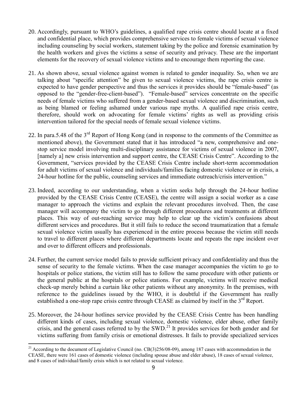- 20. Accordingly, pursuant to WHO's guidelines, a qualified rape crisis centre should locate at a fixed and confidential place, which provides comprehensive services to female victims of sexual violence including counseling by social workers, statement taking by the police and forensic examination by the health workers and gives the victims a sense of security and privacy. These are the important elements for the recovery of sexual violence victims and to encourage them reporting the case.
- 21. As shown above, sexual violence against women is related to gender inequality. So, when we are talking about "specific attention" be given to sexual violence victims, the rape crisis centre is expected to have gender perspective and thus the services it provides should be "female-based" (as opposed to the "gender-free-client-based"). "Female-based" services concentrate on the specific needs of female victims who suffered from a gender-based sexual violence and discrimination, such as being blamed or feeling ashamed under various rape myths. A qualified rape crisis centre, therefore, should work on advocating for female victims' rights as well as providing crisis intervention tailored for the special needs of female sexual violence victims.
- 22. In para.5.48 of the 3<sup>rd</sup> Report of Hong Kong (and in response to the comments of the Committee as mentioned above), the Government stated that it has introduced "a new, comprehensive and onestop service model involving multi-disciplinary assistance for victims of sexual violence in 2007, [namely a] new crisis intervention and support centre, the CEASE Crisis Centre". According to the Government, "services provided by the CEASE Crisis Centre include short-term accommodation for adult victims of sexual violence and individuals/families facing domestic violence or in crisis, a 24-hour hotline for the public, counseling services and immediate outreach/crisis intervention."
- 23. Indeed, according to our understanding, when a victim seeks help through the 24-hour hotline provided by the CEASE Crisis Centre (CEASE), the centre will assign a social worker as a case manager to approach the victims and explain the relevant procedures involved. Then, the case manager will accompany the victim to go through different procedures and treatments at different places. This way of out-reaching service may help to clear up the victim's confusions about different services and procedures. But it still fails to reduce the second traumatization that a female sexual violence victim usually has experienced in the entire process because the victim still needs to travel to different places where different departments locate and repeats the rape incident over and over to different officers and professionals.
- 24. Further, the current service model fails to provide sufficient privacy and confidentiality and thus the sense of security to the female victims. When the case manager accompanies the victim to go to hospitals or police stations, the victim still has to follow the same procedure with other patients or the general public at the hospitals or police stations. For example, victims will receive medical check-up merely behind a curtain like other patients without any anonymity. In the premises, with reference to the guidelines issued by the WHO, it is doubtful if the Government has really established a one-stop rape crisis centre through CEASE as claimed by itself in the 3<sup>rd</sup> Report.
- 25. Moreover, the 24-hour hotlines service provided by the CEASE Crisis Centre has been handling different kinds of cases, including sexual violence, domestic violence, elder abuse, other family crisis, and the general cases referred to by the SWD.<sup>21</sup> It provides services for both gender and for victims suffering from family crisis or emotional distresses. It fails to provide specialized services

 $\overline{\phantom{a}}$ 

<sup>&</sup>lt;sup>21</sup> According to the document of Legislative Council (no.  $CB(3)256/08-09$ ), among 187 cases with accommodation in the CEASE, there were 161 cases of domestic violence (including spouse abuse and elder abuse), 18 cases of sexual violence, and 8 cases of individual/family crisis which is not related to sexual violence.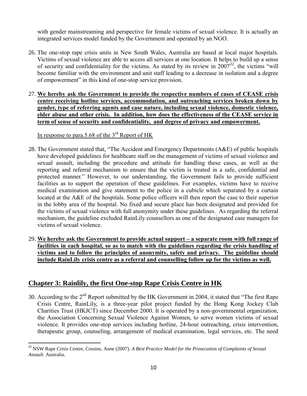with gender mainstreaming and perspective for female victims of sexual violence. It is actually an integrated services model funded by the Government and operated by an NGO.

- 26. The one-stop rape crisis units in New South Wales, Australia are based at local major hospitals. Victims of sexual violence are able to access all services at one location. It helps to build up a sense of security and confidentiality for the victims. As stated by its review in  $2007^{22}$ , the victims "will become familiar with the environment and unit staff leading to a decrease in isolation and a degree of empowerment" in this kind of one-stop service provision.
- 27. **We hereby ask the Government to provide the respective numbers of cases of CEASE crisis centre receiving hotline services, accommodation, and outreaching services broken down by gender, type of referring agents and case nature, including sexual violence, domestic violence, elder abuse and other crisis. In addition, how does the effectiveness of the CEASE service in term of sense of security and confidentiality, and degree of privacy and empowerment.**

### In response to para.5.68 of the  $3<sup>rd</sup>$  Report of HK

 $\overline{\phantom{a}}$ 

- 28. The Government stated that, "The Accident and Emergency Departments (A&E) of public hospitals have developed guidelines for healthcare staff on the management of victims of sexual violence and sexual assault, including the procedure and attitude for handling these cases, as well as the reporting and referral mechanism to ensure that the victim is treated in a safe, confidential and protected manner." However, to our understanding, the Government fails to provide sufficient facilities as to support the operation of these guidelines. For examples, victims have to receive medical examination and give statement to the police in a cubicle which separated by a curtain located at the A&E of the hospitals. Some police officers will then report the case to their superior in the lobby area of the hospital. No fixed and secure place has been designated and provided for the victims of sexual violence with full anonymity under these guidelines. As regarding the referral mechanism, the guideline excluded RainLily counsellors as one of the designated case managers for victims of sexual violence.
- 29. **We hereby ask the Government to provide actual support – a separate room with full range of facilities in each hospital, so as to match with the guidelines regarding the crisis handling of victims and to follow the principles of anonymity, safety and privacy. The guideline should include RainLily crisis centre as a referral and counselling follow up for the victims as well.**

# **Chapter 3: Rainlily, the first One-stop Rape Crisis Centre in HK**

30. According to the  $2<sup>nd</sup>$  Report submitted by the HK Government in 2004, it stated that "The first Rape" Crisis Centre, RainLily, is a three-year pilot project funded by the Hong Kong Jockey Club Charities Trust (HKJCT) since December 2000. It is operated by a non-governmental organization, the Association Concerning Sexual Violence Against Women, to serve women victims of sexual violence. It provides one-stop services including hotline, 24-hour outreaching, crisis intervention, therapeutic group, counseling, arrangement of medical examination, legal services, etc. The need

<sup>&</sup>lt;sup>22</sup> NSW Rape Crisis Centre, Cossins, Anne (2007). *A Best Practice Model for the Prosecution of Complaints of Sexual Assault*. Australia.